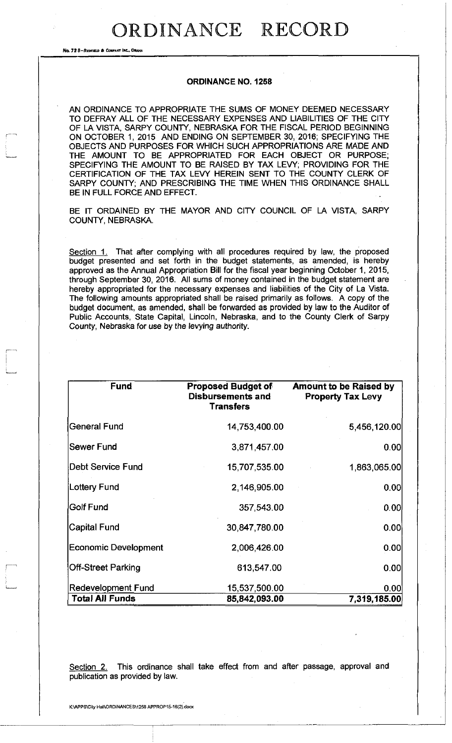## ORDINANCE RECORD

No. 72 8-REDFIELD & COMPANY INC., OMAHA

r~-

 $\overline{\overline{a}}$ 

;

## **ORDINANCE NO. 1258**

AN ORDINANCE TO APPROPRIATE THE SUMS OF MONEY DEEMED NECESSARY TO DEFRAY ALL OF THE NECESSARY EXPENSES AND LIABILITIES OF THE CITY OF LA VISTA, SARPY COUNTY, NEBRASKA FOR THE FISCAL PERIOD BEGINNING ON OCTOBER 1, 2015 AND ENDING ON SEPTEMBER 30, 2016; SPECIFYING THE OBJECTS AND PURPOSES FOR WHICH SUCH APPROPRIATIONS ARE MADE AND THE AMOUNT TO BE APPROPRIATED FOR EACH OBJECT OR PURPOSE; SPECIFYING THE AMOUNT TO BE RAISED BY TAX LEVY; PROVIDING FOR THE CERTIFICATION OF THE TAX LEVY HEREIN SENT TO THE COUNTY CLERK OF SARPY COUNTY; AND PRESCRIBING THE TIME WHEN THIS ORDINANCE SHALL BE IN FULL FORCE AND EFFECT.

BE IT ORDAINED BY THE MAYOR AND CITY COUNCIL OF LA VISTA, SARPY COUNTY, NEBRASKA.

Section 1. That after complying with all procedures required by law, the proposed budget presented and set forth in the budget statements, as amended, is hereby approved as the Annual Appropriation Bill for the fiscal year beginning October 1, 2015, through September 30, 2016. All sums of money contained in the budget statement are hereby appropriated for the necessary expenses and liabilities of the City of La Vista. The following amounts appropriated shall be raised primarily as follows. A copy of the budget document, as amended, shall be forwarded as provided by law to the Auditor of Public Accounts, State Capital, Lincoln, Nebraska, and to the County Clerk of Sarpy County, Nebraska for use by the levying authority.

| <b>Fund</b>                 | <b>Proposed Budget of</b><br><b>Disbursements and</b><br><b>Transfers</b> | <b>Amount to be Raised by</b><br><b>Property Tax Levy</b> |
|-----------------------------|---------------------------------------------------------------------------|-----------------------------------------------------------|
| <b>General Fund</b>         | 14,753,400.00                                                             | 5,456,120.00                                              |
| Sewer Fund                  | 3,871,457.00                                                              | 0.00                                                      |
| Debt Service Fund           | 15,707,535.00                                                             | 1,863,065.00                                              |
| Lottery Fund                | 2,146,905.00                                                              | 0.00                                                      |
| <b>Golf Fund</b>            | 357,543.00                                                                | 0.00                                                      |
| <b>Capital Fund</b>         | 30,847,780.00                                                             | 0.00                                                      |
| <b>Economic Development</b> | 2,006,426.00                                                              | 0.00                                                      |
| Off-Street Parking          | 613,547.00                                                                | 0.00                                                      |
| <b>Redevelopment Fund</b>   | 15,537,500.00                                                             | 0.00                                                      |
| <b>Total All Funds</b>      | 85,842,093.00                                                             | 7,319,185.00                                              |

Section 2. This ordinance shall take effect from and after passage, approval and publication as provided by law.